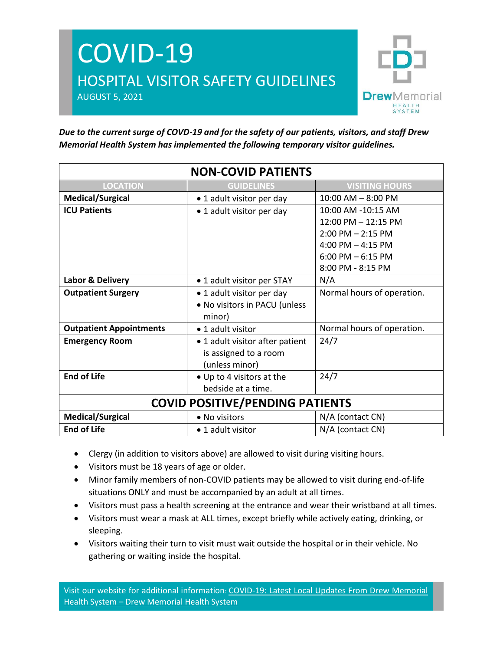



*Due to the current surge of COVD-19 and for the safety of our patients, visitors, and staff Drew Memorial Health System has implemented the following temporary visitor guidelines.* 

| <b>NON-COVID PATIENTS</b>              |                                 |                            |
|----------------------------------------|---------------------------------|----------------------------|
| <b>LOCATION</b>                        | <b>GUIDELINES</b>               | <b>VISITING HOURS</b>      |
| <b>Medical/Surgical</b>                | • 1 adult visitor per day       | $10:00$ AM $-$ 8:00 PM     |
| <b>ICU Patients</b>                    | • 1 adult visitor per day       | 10:00 AM -10:15 AM         |
|                                        |                                 | 12:00 PM - 12:15 PM        |
|                                        |                                 | $2:00$ PM $- 2:15$ PM      |
|                                        |                                 | 4:00 PM $-$ 4:15 PM        |
|                                        |                                 | $6:00$ PM $-6:15$ PM       |
|                                        |                                 | 8:00 PM - 8:15 PM          |
| Labor & Delivery                       | • 1 adult visitor per STAY      | N/A                        |
| <b>Outpatient Surgery</b>              | • 1 adult visitor per day       | Normal hours of operation. |
|                                        | • No visitors in PACU (unless   |                            |
|                                        | minor)                          |                            |
| <b>Outpatient Appointments</b>         | • 1 adult visitor               | Normal hours of operation. |
| <b>Emergency Room</b>                  | • 1 adult visitor after patient | 24/7                       |
|                                        | is assigned to a room           |                            |
|                                        | (unless minor)                  |                            |
| <b>End of Life</b>                     | • Up to 4 visitors at the       | 24/7                       |
|                                        | bedside at a time.              |                            |
| <b>COVID POSITIVE/PENDING PATIENTS</b> |                                 |                            |
| <b>Medical/Surgical</b>                | • No visitors                   | N/A (contact CN)           |
| <b>End of Life</b>                     | • 1 adult visitor               | N/A (contact CN)           |

- Clergy (in addition to visitors above) are allowed to visit during visiting hours.
- Visitors must be 18 years of age or older.
- Minor family members of non-COVID patients may be allowed to visit during end-of-life situations ONLY and must be accompanied by an adult at all times.
- Visitors must pass a health screening at the entrance and wear their wristband at all times.
- Visitors must wear a mask at ALL times, except briefly while actively eating, drinking, or sleeping.
- Visitors waiting their turn to visit must wait outside the hospital or in their vehicle. No gathering or waiting inside the hospital.